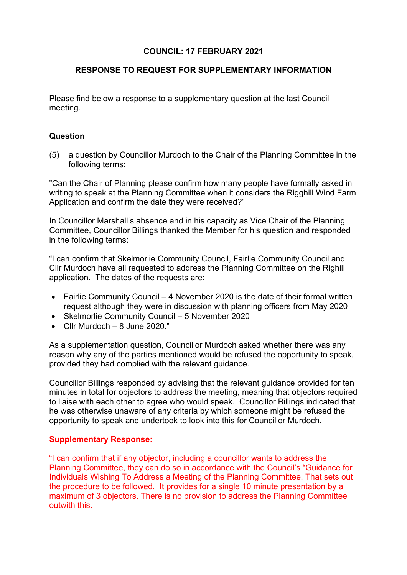## **COUNCIL: 17 FEBRUARY 2021**

## **RESPONSE TO REQUEST FOR SUPPLEMENTARY INFORMATION**

Please find below a response to a supplementary question at the last Council meeting.

## **Question**

(5) a question by Councillor Murdoch to the Chair of the Planning Committee in the following terms:

"Can the Chair of Planning please confirm how many people have formally asked in writing to speak at the Planning Committee when it considers the Rigghill Wind Farm Application and confirm the date they were received?"

In Councillor Marshall's absence and in his capacity as Vice Chair of the Planning Committee, Councillor Billings thanked the Member for his question and responded in the following terms:

"I can confirm that Skelmorlie Community Council, Fairlie Community Council and Cllr Murdoch have all requested to address the Planning Committee on the Righill application. The dates of the requests are:

- Fairlie Community Council 4 November 2020 is the date of their formal written request although they were in discussion with planning officers from May 2020
- Skelmorlie Community Council 5 November 2020
- Cllr Murdoch 8 June 2020."

As a supplementation question, Councillor Murdoch asked whether there was any reason why any of the parties mentioned would be refused the opportunity to speak, provided they had complied with the relevant guidance.

Councillor Billings responded by advising that the relevant guidance provided for ten minutes in total for objectors to address the meeting, meaning that objectors required to liaise with each other to agree who would speak. Councillor Billings indicated that he was otherwise unaware of any criteria by which someone might be refused the opportunity to speak and undertook to look into this for Councillor Murdoch.

## **Supplementary Response:**

"I can confirm that if any objector, including a councillor wants to address the Planning Committee, they can do so in accordance with the Council's "Guidance for Individuals Wishing To Address a Meeting of the Planning Committee. That sets out the procedure to be followed. It provides for a single 10 minute presentation by a maximum of 3 objectors. There is no provision to address the Planning Committee outwith this.